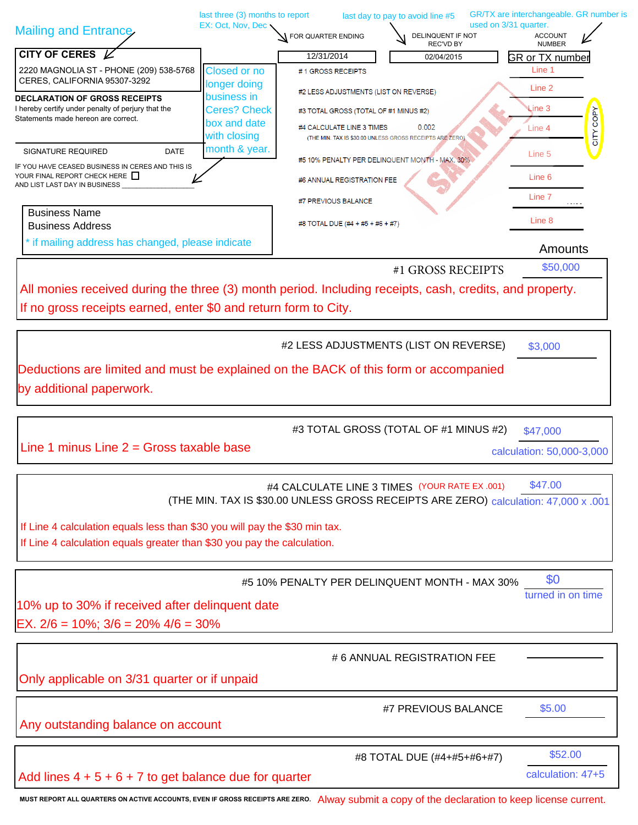|                                                                |                                                                                                                                                                                 |                                                                                                                                                                                                                                                                                                                                       | GR/TX are interchangeable. GR number is                                                                                                                                                                                                                                                                                                                                                                                                                                                                                                                                                                                                                                                                                                                                                                                                                                                                                                       |
|----------------------------------------------------------------|---------------------------------------------------------------------------------------------------------------------------------------------------------------------------------|---------------------------------------------------------------------------------------------------------------------------------------------------------------------------------------------------------------------------------------------------------------------------------------------------------------------------------------|-----------------------------------------------------------------------------------------------------------------------------------------------------------------------------------------------------------------------------------------------------------------------------------------------------------------------------------------------------------------------------------------------------------------------------------------------------------------------------------------------------------------------------------------------------------------------------------------------------------------------------------------------------------------------------------------------------------------------------------------------------------------------------------------------------------------------------------------------------------------------------------------------------------------------------------------------|
|                                                                | FOR QUARTER ENDING                                                                                                                                                              | DELINQUENT IF NOT                                                                                                                                                                                                                                                                                                                     | <b>ACCOUNT</b><br><b>NUMBER</b>                                                                                                                                                                                                                                                                                                                                                                                                                                                                                                                                                                                                                                                                                                                                                                                                                                                                                                               |
|                                                                | 12/31/2014                                                                                                                                                                      | 02/04/2015                                                                                                                                                                                                                                                                                                                            | <b>GR or TX number</b>                                                                                                                                                                                                                                                                                                                                                                                                                                                                                                                                                                                                                                                                                                                                                                                                                                                                                                                        |
| <b>Closed or no</b><br>2220 MAGNOLIA ST - PHONE (209) 538-5768 | #1 GROSS RECEIPTS                                                                                                                                                               |                                                                                                                                                                                                                                                                                                                                       | Line 1                                                                                                                                                                                                                                                                                                                                                                                                                                                                                                                                                                                                                                                                                                                                                                                                                                                                                                                                        |
|                                                                |                                                                                                                                                                                 |                                                                                                                                                                                                                                                                                                                                       | Line 2                                                                                                                                                                                                                                                                                                                                                                                                                                                                                                                                                                                                                                                                                                                                                                                                                                                                                                                                        |
| <b>Ceres? Check</b>                                            |                                                                                                                                                                                 |                                                                                                                                                                                                                                                                                                                                       | Line 3                                                                                                                                                                                                                                                                                                                                                                                                                                                                                                                                                                                                                                                                                                                                                                                                                                                                                                                                        |
| box and date                                                   |                                                                                                                                                                                 | 0.002                                                                                                                                                                                                                                                                                                                                 | CITY COPY<br>Line 4                                                                                                                                                                                                                                                                                                                                                                                                                                                                                                                                                                                                                                                                                                                                                                                                                                                                                                                           |
|                                                                |                                                                                                                                                                                 |                                                                                                                                                                                                                                                                                                                                       |                                                                                                                                                                                                                                                                                                                                                                                                                                                                                                                                                                                                                                                                                                                                                                                                                                                                                                                                               |
|                                                                |                                                                                                                                                                                 |                                                                                                                                                                                                                                                                                                                                       | Line 5                                                                                                                                                                                                                                                                                                                                                                                                                                                                                                                                                                                                                                                                                                                                                                                                                                                                                                                                        |
|                                                                |                                                                                                                                                                                 |                                                                                                                                                                                                                                                                                                                                       | Line 6                                                                                                                                                                                                                                                                                                                                                                                                                                                                                                                                                                                                                                                                                                                                                                                                                                                                                                                                        |
|                                                                |                                                                                                                                                                                 |                                                                                                                                                                                                                                                                                                                                       | Line 7                                                                                                                                                                                                                                                                                                                                                                                                                                                                                                                                                                                                                                                                                                                                                                                                                                                                                                                                        |
|                                                                |                                                                                                                                                                                 |                                                                                                                                                                                                                                                                                                                                       |                                                                                                                                                                                                                                                                                                                                                                                                                                                                                                                                                                                                                                                                                                                                                                                                                                                                                                                                               |
|                                                                |                                                                                                                                                                                 |                                                                                                                                                                                                                                                                                                                                       | Line 8                                                                                                                                                                                                                                                                                                                                                                                                                                                                                                                                                                                                                                                                                                                                                                                                                                                                                                                                        |
| * if mailing address has changed, please indicate              |                                                                                                                                                                                 |                                                                                                                                                                                                                                                                                                                                       | Amounts                                                                                                                                                                                                                                                                                                                                                                                                                                                                                                                                                                                                                                                                                                                                                                                                                                                                                                                                       |
|                                                                |                                                                                                                                                                                 | #1 GROSS RECEIPTS                                                                                                                                                                                                                                                                                                                     | \$50,000                                                                                                                                                                                                                                                                                                                                                                                                                                                                                                                                                                                                                                                                                                                                                                                                                                                                                                                                      |
|                                                                |                                                                                                                                                                                 |                                                                                                                                                                                                                                                                                                                                       |                                                                                                                                                                                                                                                                                                                                                                                                                                                                                                                                                                                                                                                                                                                                                                                                                                                                                                                                               |
|                                                                |                                                                                                                                                                                 |                                                                                                                                                                                                                                                                                                                                       |                                                                                                                                                                                                                                                                                                                                                                                                                                                                                                                                                                                                                                                                                                                                                                                                                                                                                                                                               |
|                                                                |                                                                                                                                                                                 |                                                                                                                                                                                                                                                                                                                                       |                                                                                                                                                                                                                                                                                                                                                                                                                                                                                                                                                                                                                                                                                                                                                                                                                                                                                                                                               |
|                                                                |                                                                                                                                                                                 |                                                                                                                                                                                                                                                                                                                                       |                                                                                                                                                                                                                                                                                                                                                                                                                                                                                                                                                                                                                                                                                                                                                                                                                                                                                                                                               |
|                                                                |                                                                                                                                                                                 |                                                                                                                                                                                                                                                                                                                                       | \$3,000                                                                                                                                                                                                                                                                                                                                                                                                                                                                                                                                                                                                                                                                                                                                                                                                                                                                                                                                       |
|                                                                |                                                                                                                                                                                 |                                                                                                                                                                                                                                                                                                                                       |                                                                                                                                                                                                                                                                                                                                                                                                                                                                                                                                                                                                                                                                                                                                                                                                                                                                                                                                               |
|                                                                |                                                                                                                                                                                 |                                                                                                                                                                                                                                                                                                                                       |                                                                                                                                                                                                                                                                                                                                                                                                                                                                                                                                                                                                                                                                                                                                                                                                                                                                                                                                               |
|                                                                |                                                                                                                                                                                 |                                                                                                                                                                                                                                                                                                                                       |                                                                                                                                                                                                                                                                                                                                                                                                                                                                                                                                                                                                                                                                                                                                                                                                                                                                                                                                               |
|                                                                |                                                                                                                                                                                 |                                                                                                                                                                                                                                                                                                                                       | \$47,000                                                                                                                                                                                                                                                                                                                                                                                                                                                                                                                                                                                                                                                                                                                                                                                                                                                                                                                                      |
| Line 1 minus Line $2 =$ Gross taxable base                     |                                                                                                                                                                                 |                                                                                                                                                                                                                                                                                                                                       | calculation: 50,000-3,000                                                                                                                                                                                                                                                                                                                                                                                                                                                                                                                                                                                                                                                                                                                                                                                                                                                                                                                     |
|                                                                |                                                                                                                                                                                 |                                                                                                                                                                                                                                                                                                                                       |                                                                                                                                                                                                                                                                                                                                                                                                                                                                                                                                                                                                                                                                                                                                                                                                                                                                                                                                               |
|                                                                |                                                                                                                                                                                 |                                                                                                                                                                                                                                                                                                                                       | \$47.00                                                                                                                                                                                                                                                                                                                                                                                                                                                                                                                                                                                                                                                                                                                                                                                                                                                                                                                                       |
|                                                                |                                                                                                                                                                                 |                                                                                                                                                                                                                                                                                                                                       |                                                                                                                                                                                                                                                                                                                                                                                                                                                                                                                                                                                                                                                                                                                                                                                                                                                                                                                                               |
|                                                                |                                                                                                                                                                                 |                                                                                                                                                                                                                                                                                                                                       |                                                                                                                                                                                                                                                                                                                                                                                                                                                                                                                                                                                                                                                                                                                                                                                                                                                                                                                                               |
|                                                                |                                                                                                                                                                                 |                                                                                                                                                                                                                                                                                                                                       |                                                                                                                                                                                                                                                                                                                                                                                                                                                                                                                                                                                                                                                                                                                                                                                                                                                                                                                                               |
|                                                                |                                                                                                                                                                                 |                                                                                                                                                                                                                                                                                                                                       |                                                                                                                                                                                                                                                                                                                                                                                                                                                                                                                                                                                                                                                                                                                                                                                                                                                                                                                                               |
|                                                                |                                                                                                                                                                                 |                                                                                                                                                                                                                                                                                                                                       |                                                                                                                                                                                                                                                                                                                                                                                                                                                                                                                                                                                                                                                                                                                                                                                                                                                                                                                                               |
|                                                                |                                                                                                                                                                                 |                                                                                                                                                                                                                                                                                                                                       | \$0<br>turned in on time                                                                                                                                                                                                                                                                                                                                                                                                                                                                                                                                                                                                                                                                                                                                                                                                                                                                                                                      |
|                                                                |                                                                                                                                                                                 |                                                                                                                                                                                                                                                                                                                                       |                                                                                                                                                                                                                                                                                                                                                                                                                                                                                                                                                                                                                                                                                                                                                                                                                                                                                                                                               |
|                                                                |                                                                                                                                                                                 |                                                                                                                                                                                                                                                                                                                                       |                                                                                                                                                                                                                                                                                                                                                                                                                                                                                                                                                                                                                                                                                                                                                                                                                                                                                                                                               |
|                                                                |                                                                                                                                                                                 |                                                                                                                                                                                                                                                                                                                                       |                                                                                                                                                                                                                                                                                                                                                                                                                                                                                                                                                                                                                                                                                                                                                                                                                                                                                                                                               |
|                                                                |                                                                                                                                                                                 |                                                                                                                                                                                                                                                                                                                                       |                                                                                                                                                                                                                                                                                                                                                                                                                                                                                                                                                                                                                                                                                                                                                                                                                                                                                                                                               |
|                                                                |                                                                                                                                                                                 |                                                                                                                                                                                                                                                                                                                                       |                                                                                                                                                                                                                                                                                                                                                                                                                                                                                                                                                                                                                                                                                                                                                                                                                                                                                                                                               |
|                                                                |                                                                                                                                                                                 |                                                                                                                                                                                                                                                                                                                                       |                                                                                                                                                                                                                                                                                                                                                                                                                                                                                                                                                                                                                                                                                                                                                                                                                                                                                                                                               |
|                                                                |                                                                                                                                                                                 |                                                                                                                                                                                                                                                                                                                                       | \$5.00                                                                                                                                                                                                                                                                                                                                                                                                                                                                                                                                                                                                                                                                                                                                                                                                                                                                                                                                        |
| Any outstanding balance on account                             |                                                                                                                                                                                 |                                                                                                                                                                                                                                                                                                                                       |                                                                                                                                                                                                                                                                                                                                                                                                                                                                                                                                                                                                                                                                                                                                                                                                                                                                                                                                               |
|                                                                |                                                                                                                                                                                 |                                                                                                                                                                                                                                                                                                                                       |                                                                                                                                                                                                                                                                                                                                                                                                                                                                                                                                                                                                                                                                                                                                                                                                                                                                                                                                               |
|                                                                |                                                                                                                                                                                 |                                                                                                                                                                                                                                                                                                                                       | \$52.00                                                                                                                                                                                                                                                                                                                                                                                                                                                                                                                                                                                                                                                                                                                                                                                                                                                                                                                                       |
|                                                                |                                                                                                                                                                                 |                                                                                                                                                                                                                                                                                                                                       |                                                                                                                                                                                                                                                                                                                                                                                                                                                                                                                                                                                                                                                                                                                                                                                                                                                                                                                                               |
| Add lines $4 + 5 + 6 + 7$ to get balance due for quarter       |                                                                                                                                                                                 |                                                                                                                                                                                                                                                                                                                                       | calculation: 47+5                                                                                                                                                                                                                                                                                                                                                                                                                                                                                                                                                                                                                                                                                                                                                                                                                                                                                                                             |
|                                                                | EX: Oct, Nov, Dec<br>longer doing<br>business in<br>with closing<br>month & year.<br>$EX. 2/6 = 10\%$ ; $3/6 = 20\% 4/6 = 30\%$<br>Only applicable on 3/31 quarter or if unpaid | last three (3) months to report<br>#7 PREVIOUS BALANCE<br>If no gross receipts earned, enter \$0 and return form to City.<br>If Line 4 calculation equals less than \$30 you will pay the \$30 min tax.<br>If Line 4 calculation equals greater than \$30 you pay the calculation.<br>10% up to 30% if received after delinquent date | last day to pay to avoid line #5<br>used on 3/31 quarter.<br><b>REC'VD BY</b><br>#2 LESS ADJUSTMENTS (LIST ON REVERSE)<br>#3 TOTAL GROSS (TOTAL OF #1 MINUS #2)<br>#4 CALCULATE LINE 3 TIMES<br>(THE MIN. TAX IS \$30.00 UNLESS GROSS RECEIPTS ARE ZERO)<br>#5 10% PENALTY PER DELINQUENT MONTH - MAX: 30%<br>#6 ANNUAL REGISTRATION FEE<br>#8 TOTAL DUE (#4 + #5 + #6 + #7)<br>All monies received during the three (3) month period. Including receipts, cash, credits, and property.<br>#2 LESS ADJUSTMENTS (LIST ON REVERSE)<br>Deductions are limited and must be explained on the BACK of this form or accompanied<br>#3 TOTAL GROSS (TOTAL OF #1 MINUS #2)<br>#4 CALCULATE LINE 3 TIMES (YOUR RATE EX .001)<br>(THE MIN. TAX IS \$30.00 UNLESS GROSS RECEIPTS ARE ZERO) calculation: 47,000 x .001<br>#5 10% PENALTY PER DELINQUENT MONTH - MAX 30%<br>#6 ANNUAL REGISTRATION FEE<br>#7 PREVIOUS BALANCE<br>#8 TOTAL DUE (#4+#5+#6+#7) |